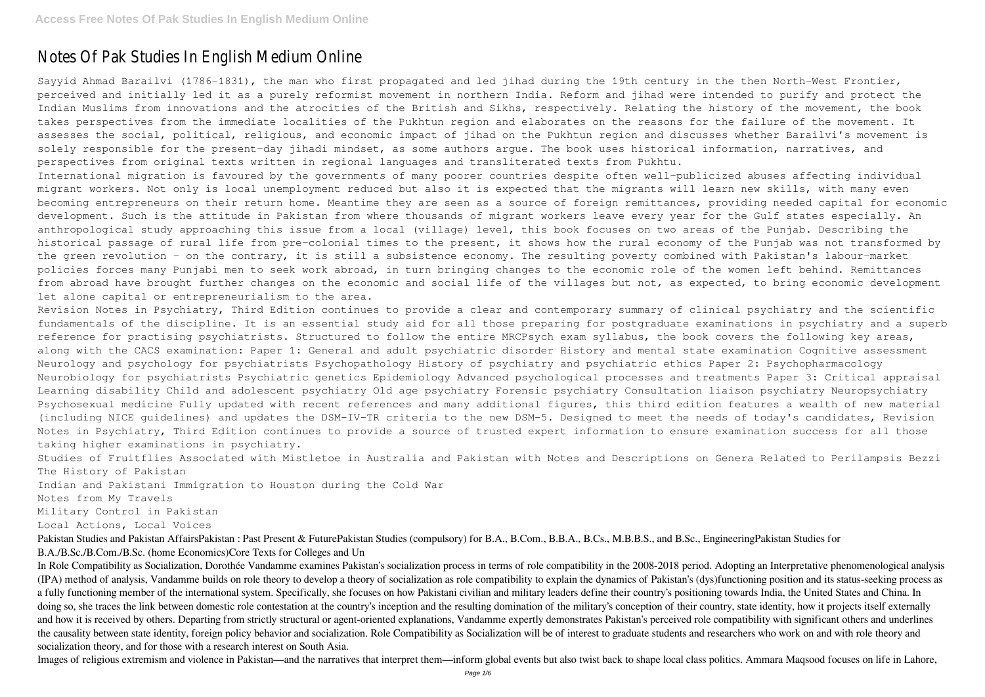## Notes Of Pak Studies In English Medium Online

Sayyid Ahmad Barailvi (1786–1831), the man who first propagated and led jihad during the 19th century in the then North-West Frontier, perceived and initially led it as a purely reformist movement in northern India. Reform and jihad were intended to purify and protect the Indian Muslims from innovations and the atrocities of the British and Sikhs, respectively. Relating the history of the movement, the book takes perspectives from the immediate localities of the Pukhtun region and elaborates on the reasons for the failure of the movement. It assesses the social, political, religious, and economic impact of jihad on the Pukhtun region and discusses whether Barailvi's movement is solely responsible for the present-day jihadi mindset, as some authors argue. The book uses historical information, narratives, and perspectives from original texts written in regional languages and transliterated texts from Pukhtu.

International migration is favoured by the governments of many poorer countries despite often well-publicized abuses affecting individual migrant workers. Not only is local unemployment reduced but also it is expected that the migrants will learn new skills, with many even becoming entrepreneurs on their return home. Meantime they are seen as a source of foreign remittances, providing needed capital for economic development. Such is the attitude in Pakistan from where thousands of migrant workers leave every year for the Gulf states especially. An anthropological study approaching this issue from a local (village) level, this book focuses on two areas of the Punjab. Describing the historical passage of rural life from pre-colonial times to the present, it shows how the rural economy of the Punjab was not transformed by the green revolution - on the contrary, it is still a subsistence economy. The resulting poverty combined with Pakistan's labour-market policies forces many Punjabi men to seek work abroad, in turn bringing changes to the economic role of the women left behind. Remittances from abroad have brought further changes on the economic and social life of the villages but not, as expected, to bring economic development let alone capital or entrepreneurialism to the area.

Pakistan Studies and Pakistan AffairsPakistan : Past Present & FuturePakistan Studies (compulsory) for B.A., B.Com., B.B.A., B.Cs., M.B.B.S., and B.Sc., EngineeringPakistan Studies for B.A./B.Sc./B.Com./B.Sc. (home Economics)Core Texts for Colleges and Un

Revision Notes in Psychiatry, Third Edition continues to provide a clear and contemporary summary of clinical psychiatry and the scientific fundamentals of the discipline. It is an essential study aid for all those preparing for postgraduate examinations in psychiatry and a superb reference for practising psychiatrists. Structured to follow the entire MRCPsych exam syllabus, the book covers the following key areas, along with the CACS examination: Paper 1: General and adult psychiatric disorder History and mental state examination Cognitive assessment Neurology and psychology for psychiatrists Psychopathology History of psychiatry and psychiatric ethics Paper 2: Psychopharmacology Neurobiology for psychiatrists Psychiatric genetics Epidemiology Advanced psychological processes and treatments Paper 3: Critical appraisal Learning disability Child and adolescent psychiatry Old age psychiatry Forensic psychiatry Consultation liaison psychiatry Neuropsychiatry Psychosexual medicine Fully updated with recent references and many additional figures, this third edition features a wealth of new material (including NICE guidelines) and updates the DSM-IV-TR criteria to the new DSM-5. Designed to meet the needs of today's candidates, Revision Notes in Psychiatry, Third Edition continues to provide a source of trusted expert information to ensure examination success for all those taking higher examinations in psychiatry.

Studies of Fruitflies Associated with Mistletoe in Australia and Pakistan with Notes and Descriptions on Genera Related to Perilampsis Bezzi The History of Pakistan

Indian and Pakistani Immigration to Houston during the Cold War

Notes from My Travels

Military Control in Pakistan

Local Actions, Local Voices

In Role Compatibility as Socialization, Dorothée Vandamme examines Pakistan's socialization process in terms of role compatibility in the 2008-2018 period. Adopting an Interpretative phenomenological analysis (IPA) method of analysis, Vandamme builds on role theory to develop a theory of socialization as role compatibility to explain the dynamics of Pakistan's (dys)functioning position and its status-seeking process as a fully functioning member of the international system. Specifically, she focuses on how Pakistani civilian and military leaders define their country's positioning towards India, the United States and China. In doing so, she traces the link between domestic role contestation at the country's inception and the resulting domination of the military's conception of their country, state identity, how it projects itself externally and how it is received by others. Departing from strictly structural or agent-oriented explanations, Vandamme expertly demonstrates Pakistan's perceived role compatibility with significant others and underlines the causality between state identity, foreign policy behavior and socialization. Role Compatibility as Socialization will be of interest to graduate students and researchers who work on and with role theory and socialization theory, and for those with a research interest on South Asia.

Images of religious extremism and violence in Pakistan—and the narratives that interpret them—inform global events but also twist back to shape local class politics. Ammara Maqsood focuses on life in Lahore,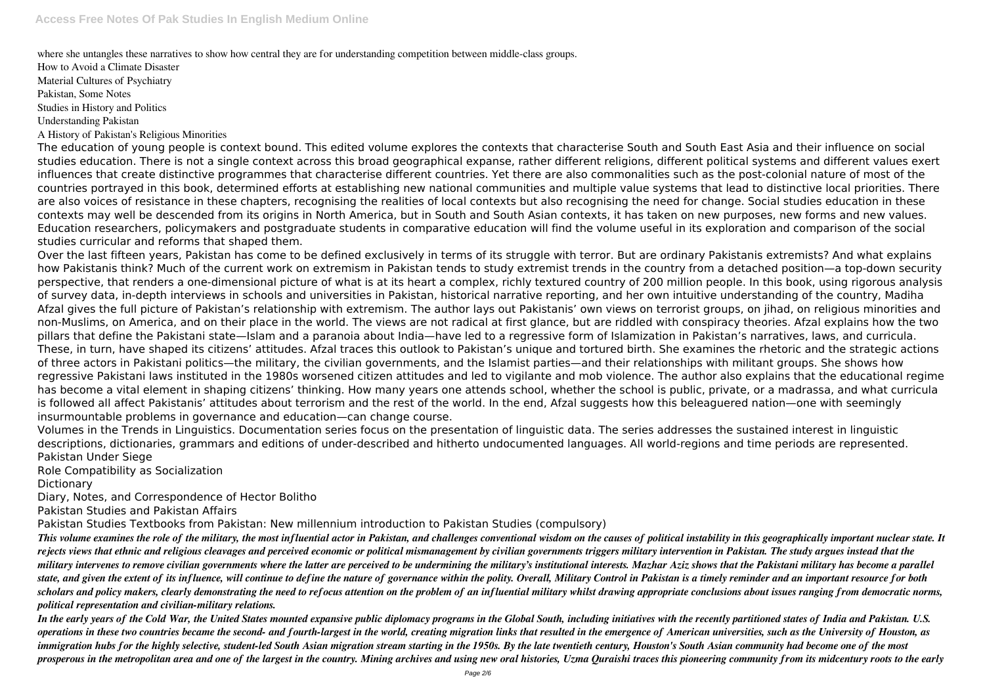where she untangles these narratives to show how central they are for understanding competition between middle-class groups.

How to Avoid a Climate Disaster Material Cultures of Psychiatry Pakistan, Some Notes Studies in History and Politics

Understanding Pakistan

A History of Pakistan's Religious Minorities

The education of young people is context bound. This edited volume explores the contexts that characterise South and South East Asia and their influence on social studies education. There is not a single context across this broad geographical expanse, rather different religions, different political systems and different values exert influences that create distinctive programmes that characterise different countries. Yet there are also commonalities such as the post-colonial nature of most of the countries portrayed in this book, determined efforts at establishing new national communities and multiple value systems that lead to distinctive local priorities. There are also voices of resistance in these chapters, recognising the realities of local contexts but also recognising the need for change. Social studies education in these contexts may well be descended from its origins in North America, but in South and South Asian contexts, it has taken on new purposes, new forms and new values. Education researchers, policymakers and postgraduate students in comparative education will find the volume useful in its exploration and comparison of the social studies curricular and reforms that shaped them.

Over the last fifteen years, Pakistan has come to be defined exclusively in terms of its struggle with terror. But are ordinary Pakistanis extremists? And what explains how Pakistanis think? Much of the current work on extremism in Pakistan tends to study extremist trends in the country from a detached position—a top-down security perspective, that renders a one-dimensional picture of what is at its heart a complex, richly textured country of 200 million people. In this book, using rigorous analysis of survey data, in-depth interviews in schools and universities in Pakistan, historical narrative reporting, and her own intuitive understanding of the country, Madiha Afzal gives the full picture of Pakistan's relationship with extremism. The author lays out Pakistanis' own views on terrorist groups, on jihad, on religious minorities and non-Muslims, on America, and on their place in the world. The views are not radical at first glance, but are riddled with conspiracy theories. Afzal explains how the two pillars that define the Pakistani state—Islam and a paranoia about India—have led to a regressive form of Islamization in Pakistan's narratives, laws, and curricula. These, in turn, have shaped its citizens' attitudes. Afzal traces this outlook to Pakistan's unique and tortured birth. She examines the rhetoric and the strategic actions of three actors in Pakistani politics—the military, the civilian governments, and the Islamist parties—and their relationships with militant groups. She shows how regressive Pakistani laws instituted in the 1980s worsened citizen attitudes and led to vigilante and mob violence. The author also explains that the educational regime has become a vital element in shaping citizens' thinking. How many years one attends school, whether the school is public, private, or a madrassa, and what curricula is followed all affect Pakistanis' attitudes about terrorism and the rest of the world. In the end, Afzal suggests how this beleaguered nation—one with seemingly insurmountable problems in governance and education—can change course.

Volumes in the Trends in Linguistics. Documentation series focus on the presentation of linguistic data. The series addresses the sustained interest in linguistic descriptions, dictionaries, grammars and editions of under-described and hitherto undocumented languages. All world-regions and time periods are represented. Pakistan Under Siege

Role Compatibility as Socialization

**Dictionary** 

Diary, Notes, and Correspondence of Hector Bolitho

Pakistan Studies and Pakistan Affairs

Pakistan Studies Textbooks from Pakistan: New millennium introduction to Pakistan Studies (compulsory)

*This volume examines the role of the military, the most influential actor in Pakistan, and challenges conventional wisdom on the causes of political instability in this geographically important nuclear state. It rejects views that ethnic and religious cleavages and perceived economic or political mismanagement by civilian governments triggers military intervention in Pakistan. The study argues instead that the military intervenes to remove civilian governments where the latter are perceived to be undermining the military's institutional interests. Mazhar Aziz shows that the Pakistani military has become a parallel state, and given the extent of its influence, will continue to define the nature of governance within the polity. Overall, Military Control in Pakistan is a timely reminder and an important resource for both scholars and policy makers, clearly demonstrating the need to refocus attention on the problem of an influential military whilst drawing appropriate conclusions about issues ranging from democratic norms, political representation and civilian-military relations.*

*In the early years of the Cold War, the United States mounted expansive public diplomacy programs in the Global South, including initiatives with the recently partitioned states of India and Pakistan. U.S. operations in these two countries became the second- and fourth-largest in the world, creating migration links that resulted in the emergence of American universities, such as the University of Houston, as immigration hubs for the highly selective, student-led South Asian migration stream starting in the 1950s. By the late twentieth century, Houston's South Asian community had become one of the most prosperous in the metropolitan area and one of the largest in the country. Mining archives and using new oral histories, Uzma Quraishi traces this pioneering community from its midcentury roots to the early*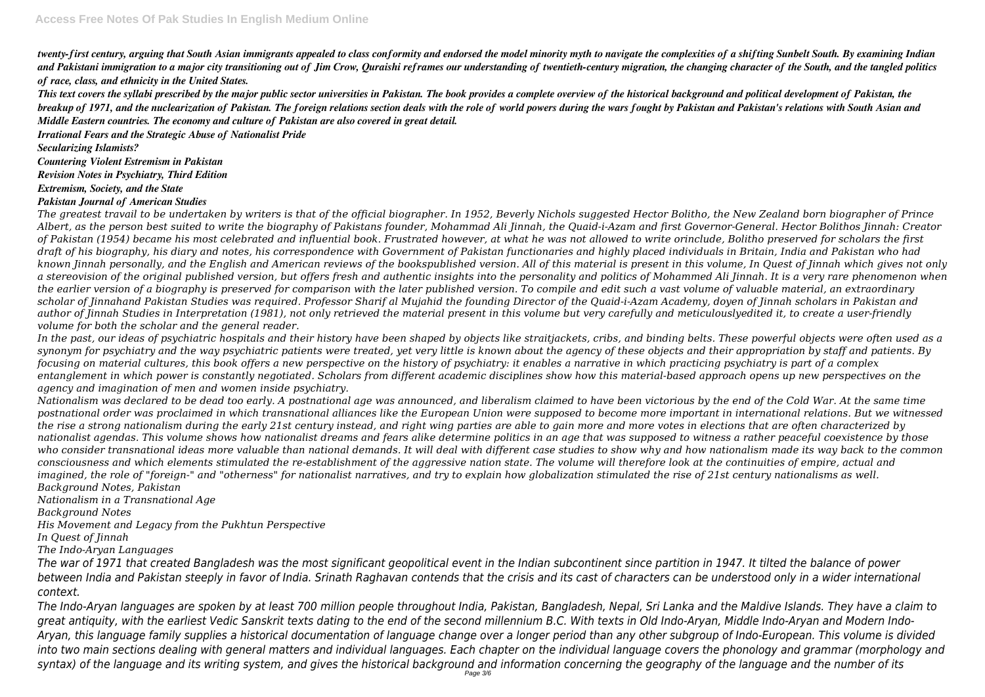*twenty-first century, arguing that South Asian immigrants appealed to class conformity and endorsed the model minority myth to navigate the complexities of a shifting Sunbelt South. By examining Indian and Pakistani immigration to a major city transitioning out of Jim Crow, Quraishi reframes our understanding of twentieth-century migration, the changing character of the South, and the tangled politics of race, class, and ethnicity in the United States.*

*This text covers the syllabi prescribed by the major public sector universities in Pakistan. The book provides a complete overview of the historical background and political development of Pakistan, the breakup of 1971, and the nuclearization of Pakistan. The foreign relations section deals with the role of world powers during the wars fought by Pakistan and Pakistan's relations with South Asian and Middle Eastern countries. The economy and culture of Pakistan are also covered in great detail.*

*Irrational Fears and the Strategic Abuse of Nationalist Pride*

*Secularizing Islamists?*

*Countering Violent Estremism in Pakistan*

*Revision Notes in Psychiatry, Third Edition*

*Extremism, Society, and the State*

#### *Pakistan Journal of American Studies*

*The greatest travail to be undertaken by writers is that of the official biographer. In 1952, Beverly Nichols suggested Hector Bolitho, the New Zealand born biographer of Prince Albert, as the person best suited to write the biography of Pakistans founder, Mohammad Ali Jinnah, the Quaid-i-Azam and first Governor-General. Hector Bolithos Jinnah: Creator of Pakistan (1954) became his most celebrated and influential book. Frustrated however, at what he was not allowed to write orinclude, Bolitho preserved for scholars the first draft of his biography, his diary and notes, his correspondence with Government of Pakistan functionaries and highly placed individuals in Britain, India and Pakistan who had known Jinnah personally, and the English and American reviews of the bookspublished version. All of this material is present in this volume, In Quest of Jinnah which gives not only a stereovision of the original published version, but offers fresh and authentic insights into the personality and politics of Mohammed Ali Jinnah. It is a very rare phenomenon when the earlier version of a biography is preserved for comparison with the later published version. To compile and edit such a vast volume of valuable material, an extraordinary scholar of Jinnahand Pakistan Studies was required. Professor Sharif al Mujahid the founding Director of the Quaid-i-Azam Academy, doyen of Jinnah scholars in Pakistan and author of Jinnah Studies in Interpretation (1981), not only retrieved the material present in this volume but very carefully and meticulouslyedited it, to create a user-friendly volume for both the scholar and the general reader.*

*In the past, our ideas of psychiatric hospitals and their history have been shaped by objects like straitjackets, cribs, and binding belts. These powerful objects were often used as a synonym for psychiatry and the way psychiatric patients were treated, yet very little is known about the agency of these objects and their appropriation by staff and patients. By focusing on material cultures, this book offers a new perspective on the history of psychiatry: it enables a narrative in which practicing psychiatry is part of a complex entanglement in which power is constantly negotiated. Scholars from different academic disciplines show how this material-based approach opens up new perspectives on the agency and imagination of men and women inside psychiatry.*

*Nationalism was declared to be dead too early. A postnational age was announced, and liberalism claimed to have been victorious by the end of the Cold War. At the same time postnational order was proclaimed in which transnational alliances like the European Union were supposed to become more important in international relations. But we witnessed the rise a strong nationalism during the early 21st century instead, and right wing parties are able to gain more and more votes in elections that are often characterized by nationalist agendas. This volume shows how nationalist dreams and fears alike determine politics in an age that was supposed to witness a rather peaceful coexistence by those who consider transnational ideas more valuable than national demands. It will deal with different case studies to show why and how nationalism made its way back to the common consciousness and which elements stimulated the re-establishment of the aggressive nation state. The volume will therefore look at the continuities of empire, actual and imagined, the role of "foreign-" and "otherness" for nationalist narratives, and try to explain how globalization stimulated the rise of 21st century nationalisms as well. Background Notes, Pakistan*

*Nationalism in a Transnational Age*

*Background Notes*

*His Movement and Legacy from the Pukhtun Perspective*

*In Quest of Jinnah*

*The Indo-Aryan Languages*

*The war of 1971 that created Bangladesh was the most significant geopolitical event in the Indian subcontinent since partition in 1947. It tilted the balance of power between India and Pakistan steeply in favor of India. Srinath Raghavan contends that the crisis and its cast of characters can be understood only in a wider international context.*

*The Indo-Aryan languages are spoken by at least 700 million people throughout India, Pakistan, Bangladesh, Nepal, Sri Lanka and the Maldive Islands. They have a claim to* areat antiquity, with the earliest Vedic Sanskrit texts dating to the end of the second millennium B.C. With texts in Old Indo-Aryan, Middle Indo-Aryan and Modern Indo-*Aryan, this language family supplies a historical documentation of language change over a longer period than any other subgroup of Indo-European. This volume is divided into two main sections dealing with general matters and individual languages. Each chapter on the individual language covers the phonology and grammar (morphology and syntax) of the language and its writing system, and gives the historical background and information concerning the geography of the language and the number of its*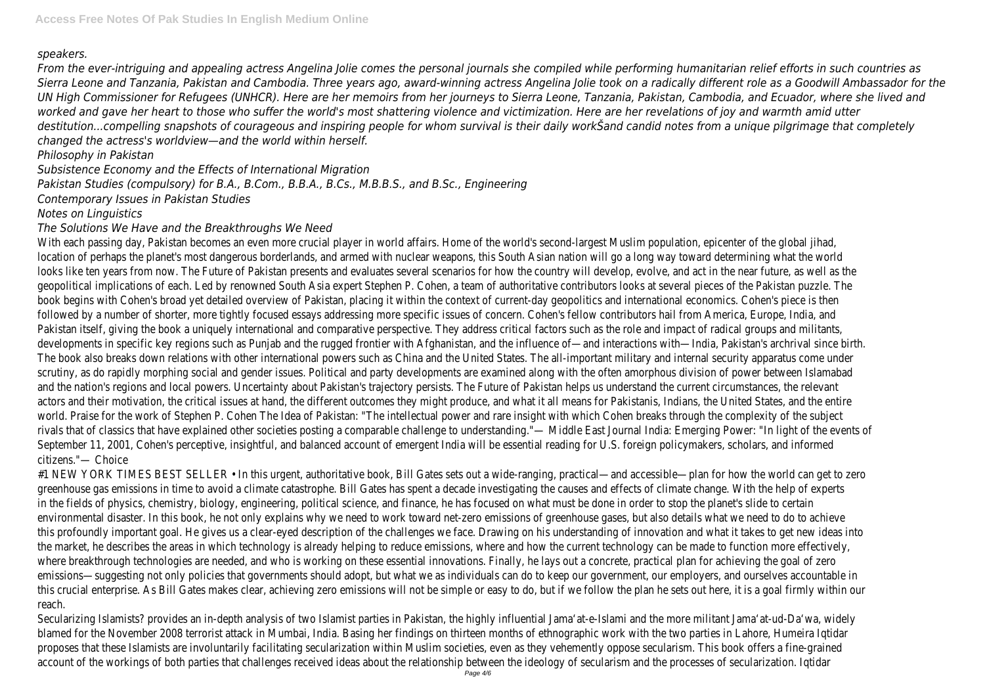## *speakers.*

*From the ever-intriguing and appealing actress Angelina Jolie comes the personal journals she compiled while performing humanitarian relief efforts in such countries as Sierra Leone and Tanzania, Pakistan and Cambodia. Three years ago, award-winning actress Angelina Jolie took on a radically different role as a Goodwill Ambassador for the UN High Commissioner for Refugees (UNHCR). Here are her memoirs from her journeys to Sierra Leone, Tanzania, Pakistan, Cambodia, and Ecuador, where she lived and worked and gave her heart to those who suffer the world's most shattering violence and victimization. Here are her revelations of joy and warmth amid utter destitution...compelling snapshots of courageous and inspiring people for whom survival is their daily workŠand candid notes from a unique pilgrimage that completely changed the actress's worldview—and the world within herself.*

*Philosophy in Pakistan*

*Subsistence Economy and the Effects of International Migration*

*Pakistan Studies (compulsory) for B.A., B.Com., B.B.A., B.Cs., M.B.B.S., and B.Sc., Engineering*

*Contemporary Issues in Pakistan Studies*

# *Notes on Linguistics*

## *The Solutions We Have and the Breakthroughs We Need*

With each passing day, Pakistan becomes an even more crucial player in world affairs. Home of the world's second-largest Muslim population, epicenter of the global jihad, location of perhaps the planet's most dangerous borderlands, and armed with nuclear weapons, this South Asian nation will go a long way toward determining what the world looks like ten years from now. The Future of Pakistan presents and evaluates several scenarios for how the country will develop, evolve, and act in the near future, as well as the geopolitical implications of each. Led by renowned South Asia expert Stephen P. Cohen, a team of authoritative contributors looks at several pieces of the Pakistan puzzle. The book begins with Cohen's broad yet detailed overview of Pakistan, placing it within the context of current-day geopolitics and international economics. Cohen's piece is then followed by a number of shorter, more tightly focused essays addressing more specific issues of concern. Cohen's fellow contributors hail from America, Europe, India, and Pakistan itself, giving the book a uniquely international and comparative perspective. They address critical factors such as the role and impact of radical groups and militants, developments in specific key regions such as Punjab and the rugged frontier with Afghanistan, and the influence of—and interactions with—India, Pakistan's archrival since birth. The book also breaks down relations with other international powers such as China and the United States. The all-important military and internal security apparatus come under scrutiny, as do rapidly morphing social and gender issues. Political and party developments are examined along with the often amorphous division of power between Islamabad and the nation's regions and local powers. Uncertainty about Pakistan's trajectory persists. The Future of Pakistan helps us understand the current circumstances, the relevant actors and their motivation, the critical issues at hand, the different outcomes they might produce, and what it all means for Pakistanis, Indians, the United States, and the entire world. Praise for the work of Stephen P. Cohen The Idea of Pakistan: "The intellectual power and rare insight with which Cohen breaks through the complexity of the subject rivals that of classics that have explained other societies posting a comparable challenge to understanding."— Middle East Journal India: Emerging Power: "In light of the events of September 11, 2001, Cohen's perceptive, insightful, and balanced account of emergent India will be essential reading for U.S. foreign policymakers, scholars, and informed citizens."— Choice

#1 NEW YORK TIMES BEST SELLER • In this urgent, authoritative book, Bill Gates sets out a wide-ranging, practical—and accessible—plan for how the world can get to zero greenhouse gas emissions in time to avoid a climate catastrophe. Bill Gates has spent a decade investigating the causes and effects of climate change. With the help of experts in the fields of physics, chemistry, biology, engineering, political science, and finance, he has focused on what must be done in order to stop the planet's slide to certain environmental disaster. In this book, he not only explains why we need to work toward net-zero emissions of greenhouse gases, but also details what we need to do to achieve this profoundly important goal. He gives us a clear-eyed description of the challenges we face. Drawing on his understanding of innovation and what it takes to get new ideas into the market, he describes the areas in which technology is already helping to reduce emissions, where and how the current technology can be made to function more effectively, where breakthrough technologies are needed, and who is working on these essential innovations. Finally, he lays out a concrete, practical plan for achieving the goal of zero emissions—suggesting not only policies that governments should adopt, but what we as individuals can do to keep our government, our employers, and ourselves accountable in this crucial enterprise. As Bill Gates makes clear, achieving zero emissions will not be simple or easy to do, but if we follow the plan he sets out here, it is a goal firmly within our reach.

Secularizing Islamists? provides an in-depth analysis of two Islamist parties in Pakistan, the highly influential Jama'at-e-Islami and the more militant Jama'at-ud-Da'wa, widely blamed for the November 2008 terrorist attack in Mumbai, India. Basing her findings on thirteen months of ethnographic work with the two parties in Lahore, Humeira Iqtidar proposes that these Islamists are involuntarily facilitating secularization within Muslim societies, even as they vehemently oppose secularism. This book offers a fine-grained account of the workings of both parties that challenges received ideas about the relationship between the ideology of secularism and the processes of secularization. Iqtidar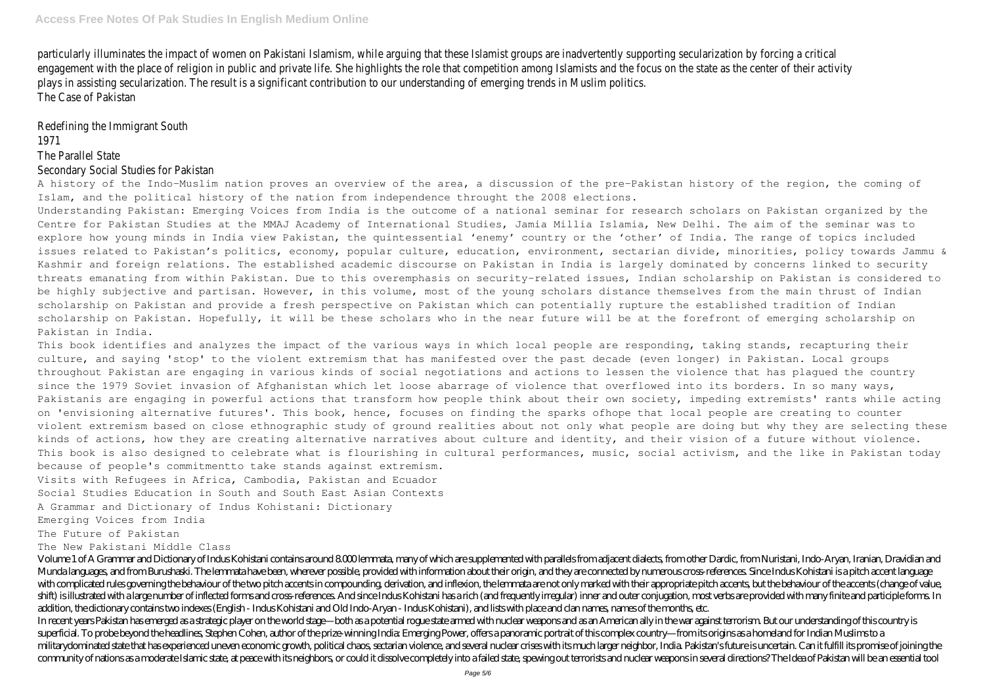particularly illuminates the impact of women on Pakistani Islamism, while arguing that these Islamist groups are inadvertently supporting secularization by forcing a critical engagement with the place of religion in public and private life. She highlights the role that competition among Islamists and the focus on the state as the center of their activity plays in assisting secularization. The result is a significant contribution to our understanding of emerging trends in Muslim politics. The Case of Pakistan

Redefining the Immigrant South 1971

### The Parallel State

#### Secondary Social Studies for Pakistan

A history of the Indo-Muslim nation proves an overview of the area, a discussion of the pre-Pakistan history of the region, the coming of Islam, and the political history of the nation from independence throught the 2008 elections.

Understanding Pakistan: Emerging Voices from India is the outcome of a national seminar for research scholars on Pakistan organized by the Centre for Pakistan Studies at the MMAJ Academy of International Studies, Jamia Millia Islamia, New Delhi. The aim of the seminar was to explore how young minds in India view Pakistan, the quintessential 'enemy' country or the 'other' of India. The range of topics included issues related to Pakistan's politics, economy, popular culture, education, environment, sectarian divide, minorities, policy towards Jammu & Kashmir and foreign relations. The established academic discourse on Pakistan in India is largely dominated by concerns linked to security threats emanating from within Pakistan. Due to this overemphasis on security-related issues, Indian scholarship on Pakistan is considered to be highly subjective and partisan. However, in this volume, most of the young scholars distance themselves from the main thrust of Indian scholarship on Pakistan and provide a fresh perspective on Pakistan which can potentially rupture the established tradition of Indian scholarship on Pakistan. Hopefully, it will be these scholars who in the near future will be at the forefront of emerging scholarship on Pakistan in India.

This book identifies and analyzes the impact of the various ways in which local people are responding, taking stands, recapturing their culture, and saying 'stop' to the violent extremism that has manifested over the past decade (even longer) in Pakistan. Local groups throughout Pakistan are engaging in various kinds of social negotiations and actions to lessen the violence that has plagued the country since the 1979 Soviet invasion of Afghanistan which let loose abarrage of violence that overflowed into its borders. In so many ways, Pakistanis are engaging in powerful actions that transform how people think about their own society, impeding extremists' rants while acting on 'envisioning alternative futures'. This book, hence, focuses on finding the sparks ofhope that local people are creating to counter violent extremism based on close ethnographic study of ground realities about not only what people are doing but why they are selecting these kinds of actions, how they are creating alternative narratives about culture and identity, and their vision of a future without violence. This book is also designed to celebrate what is flourishing in cultural performances, music, social activism, and the like in Pakistan today because of people's commitmentto take stands against extremism.

Visits with Refugees in Africa, Cambodia, Pakistan and Ecuador

Social Studies Education in South and South East Asian Contexts

A Grammar and Dictionary of Indus Kohistani: Dictionary

Emerging Voices from India

The Future of Pakistan

The New Pakistani Middle Class

Volume 1 of A Grammar and Dictionary of Indus Kohistani contains around 8000 lemmata, many of which are supplemented with parallels from adiacent dialects, from other Dardic, from Nuristani, Indo-Arvan, Iranian, Dravidian Munda languages, and from Burushaski. The lemmata have been, wherever possible, provided with information about their origin, and they are connected by numerous cross-references. Since Indus Kohistani is a pitch accent lan with complicated rules governing the behaviour of the two pitch accents in compounding, derivation, and inflexion, the lemmata are not only marked with their appropriate pitch accents, but the behaviour of the accents (cha shift) is illustrated with a large number of inflected forms and cross-references. And since Indus Kohistani has a rich (and frequently irregular) inner and outer conjugation, most verbs are provided with many finite and p addition, the dictionary contains two indexes (English - Indus Kohistani and Old Indo-Aryan - Indus Kohistani), and lists with place and clan names, names of the months, etc. In recent years Pakistan has emerged as a strategic player on the world stage—both as a potential rogue state armed with nuclear weapons and as an American ally in the war against terrorism. But our understanding of this c superficial. To probe beyond the headlines, Stephen Cohen, author of the prize-winning India: Emerging Power, offers a panoramic portrait of this complex country—from its origins as a homeland for Indian Muslims to a militarydominated state that has experienced uneven economic growth, political chaos, sectarian violence, and several nuclear crises with its much larger neighbor, India. Pakistan's future is uncertain. Can it fulfill its community of nations as a moderate Islamic state, at peace with its neighbors, or could it dissolve completely into a failed state, spewing out terrorists and nuclear weapons in several directions? The Idea of Pakistan wil